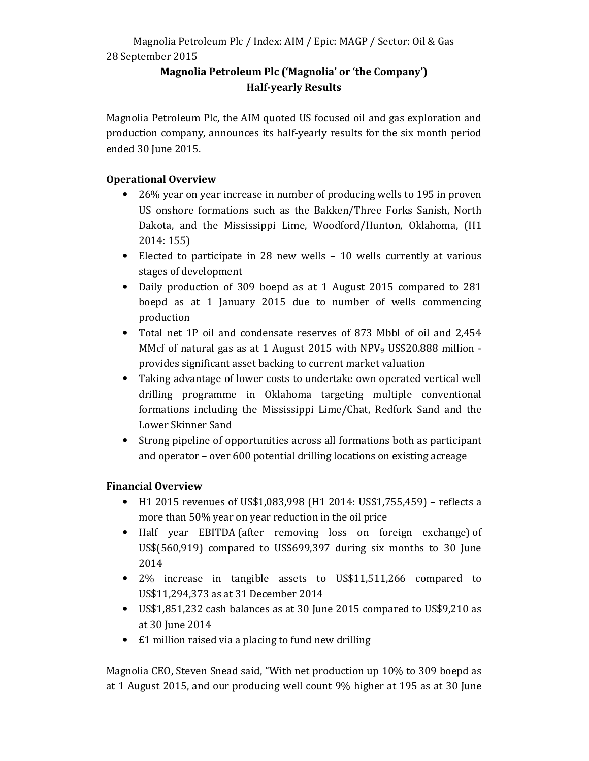# Magnolia Petroleum Plc / Index: AIM / Epic: MAGP / Sector: Oil & Gas 28 September 2015

# Magnolia Petroleum Plc ('Magnolia' or 'the Company') Half-yearly Results

Magnolia Petroleum Plc, the AIM quoted US focused oil and gas exploration and production company, announces its half-yearly results for the six month period ended 30 June 2015.

# Operational Overview

- 26% year on year increase in number of producing wells to 195 in proven US onshore formations such as the Bakken/Three Forks Sanish, North Dakota, and the Mississippi Lime, Woodford/Hunton, Oklahoma, (H1 2014: 155)
- Elected to participate in 28 new wells 10 wells currently at various stages of development
- Daily production of 309 boepd as at 1 August 2015 compared to 281 boepd as at 1 January 2015 due to number of wells commencing production
- Total net 1P oil and condensate reserves of 873 Mbbl of oil and 2,454 MMcf of natural gas as at 1 August 2015 with NPV<sub>9</sub> US\$20.888 million provides significant asset backing to current market valuation
- Taking advantage of lower costs to undertake own operated vertical well drilling programme in Oklahoma targeting multiple conventional formations including the Mississippi Lime/Chat, Redfork Sand and the Lower Skinner Sand
- Strong pipeline of opportunities across all formations both as participant and operator – over 600 potential drilling locations on existing acreage

# Financial Overview

- H1 2015 revenues of US\$1,083,998 (H1 2014: US\$1,755,459) reflects a more than 50% year on year reduction in the oil price
- Half year EBITDA (after removing loss on foreign exchange) of US\$(560,919) compared to US\$699,397 during six months to 30 June 2014
- 2% increase in tangible assets to US\$11,511,266 compared to US\$11,294,373 as at 31 December 2014
- US\$1,851,232 cash balances as at 30 June 2015 compared to US\$9,210 as at 30 June 2014
- £1 million raised via a placing to fund new drilling

Magnolia CEO, Steven Snead said, "With net production up 10% to 309 boepd as at 1 August 2015, and our producing well count 9% higher at 195 as at 30 June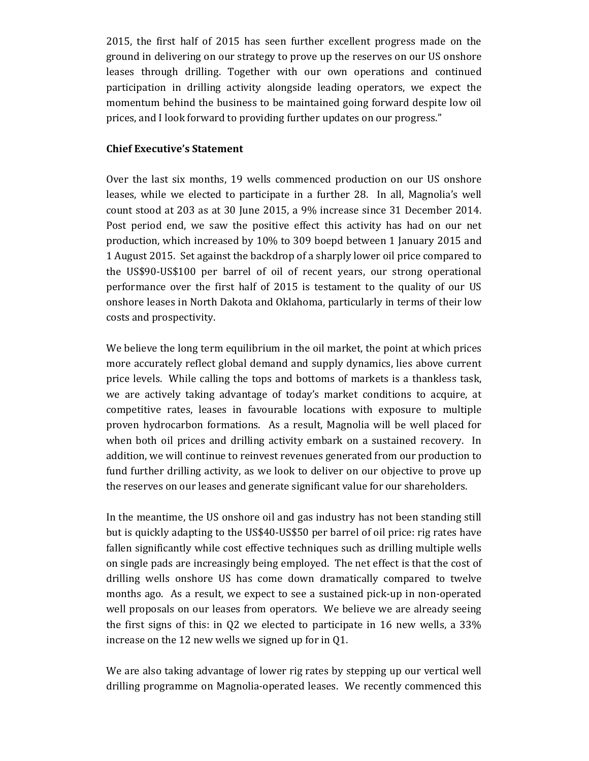2015, the first half of 2015 has seen further excellent progress made on the ground in delivering on our strategy to prove up the reserves on our US onshore leases through drilling. Together with our own operations and continued participation in drilling activity alongside leading operators, we expect the momentum behind the business to be maintained going forward despite low oil prices, and I look forward to providing further updates on our progress."

### Chief Executive's Statement

Over the last six months, 19 wells commenced production on our US onshore leases, while we elected to participate in a further 28. In all, Magnolia's well count stood at 203 as at 30 June 2015, a 9% increase since 31 December 2014. Post period end, we saw the positive effect this activity has had on our net production, which increased by 10% to 309 boepd between 1 January 2015 and 1 August 2015. Set against the backdrop of a sharply lower oil price compared to the US\$90-US\$100 per barrel of oil of recent years, our strong operational performance over the first half of 2015 is testament to the quality of our US onshore leases in North Dakota and Oklahoma, particularly in terms of their low costs and prospectivity.

We believe the long term equilibrium in the oil market, the point at which prices more accurately reflect global demand and supply dynamics, lies above current price levels. While calling the tops and bottoms of markets is a thankless task, we are actively taking advantage of today's market conditions to acquire, at competitive rates, leases in favourable locations with exposure to multiple proven hydrocarbon formations. As a result, Magnolia will be well placed for when both oil prices and drilling activity embark on a sustained recovery. In addition, we will continue to reinvest revenues generated from our production to fund further drilling activity, as we look to deliver on our objective to prove up the reserves on our leases and generate significant value for our shareholders.

In the meantime, the US onshore oil and gas industry has not been standing still but is quickly adapting to the US\$40-US\$50 per barrel of oil price: rig rates have fallen significantly while cost effective techniques such as drilling multiple wells on single pads are increasingly being employed. The net effect is that the cost of drilling wells onshore US has come down dramatically compared to twelve months ago. As a result, we expect to see a sustained pick-up in non-operated well proposals on our leases from operators. We believe we are already seeing the first signs of this: in Q2 we elected to participate in 16 new wells, a 33% increase on the 12 new wells we signed up for in Q1.

We are also taking advantage of lower rig rates by stepping up our vertical well drilling programme on Magnolia-operated leases. We recently commenced this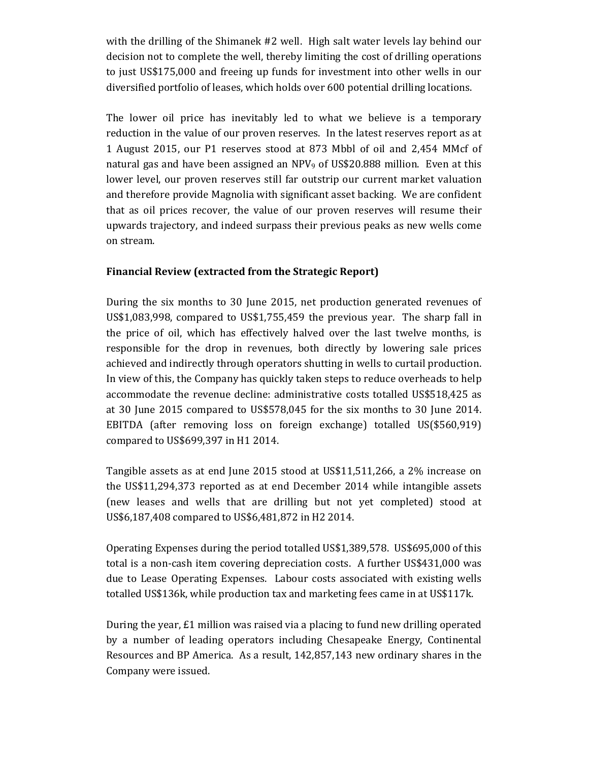with the drilling of the Shimanek #2 well. High salt water levels lay behind our decision not to complete the well, thereby limiting the cost of drilling operations to just US\$175,000 and freeing up funds for investment into other wells in our diversified portfolio of leases, which holds over 600 potential drilling locations.

The lower oil price has inevitably led to what we believe is a temporary reduction in the value of our proven reserves. In the latest reserves report as at 1 August 2015, our P1 reserves stood at 873 Mbbl of oil and 2,454 MMcf of natural gas and have been assigned an  $NPV_9$  of US\$20.888 million. Even at this lower level, our proven reserves still far outstrip our current market valuation and therefore provide Magnolia with significant asset backing. We are confident that as oil prices recover, the value of our proven reserves will resume their upwards trajectory, and indeed surpass their previous peaks as new wells come on stream.

## Financial Review (extracted from the Strategic Report)

During the six months to 30 June 2015, net production generated revenues of US\$1,083,998, compared to US\$1,755,459 the previous year. The sharp fall in the price of oil, which has effectively halved over the last twelve months, is responsible for the drop in revenues, both directly by lowering sale prices achieved and indirectly through operators shutting in wells to curtail production. In view of this, the Company has quickly taken steps to reduce overheads to help accommodate the revenue decline: administrative costs totalled US\$518,425 as at 30 June 2015 compared to US\$578,045 for the six months to 30 June 2014. EBITDA (after removing loss on foreign exchange) totalled US(\$560,919) compared to US\$699,397 in H1 2014.

Tangible assets as at end June 2015 stood at US\$11,511,266, a 2% increase on the US\$11,294,373 reported as at end December 2014 while intangible assets (new leases and wells that are drilling but not yet completed) stood at US\$6,187,408 compared to US\$6,481,872 in H2 2014.

Operating Expenses during the period totalled US\$1,389,578. US\$695,000 of this total is a non-cash item covering depreciation costs. A further US\$431,000 was due to Lease Operating Expenses. Labour costs associated with existing wells totalled US\$136k, while production tax and marketing fees came in at US\$117k.

During the year, £1 million was raised via a placing to fund new drilling operated by a number of leading operators including Chesapeake Energy, Continental Resources and BP America. As a result, 142,857,143 new ordinary shares in the Company were issued.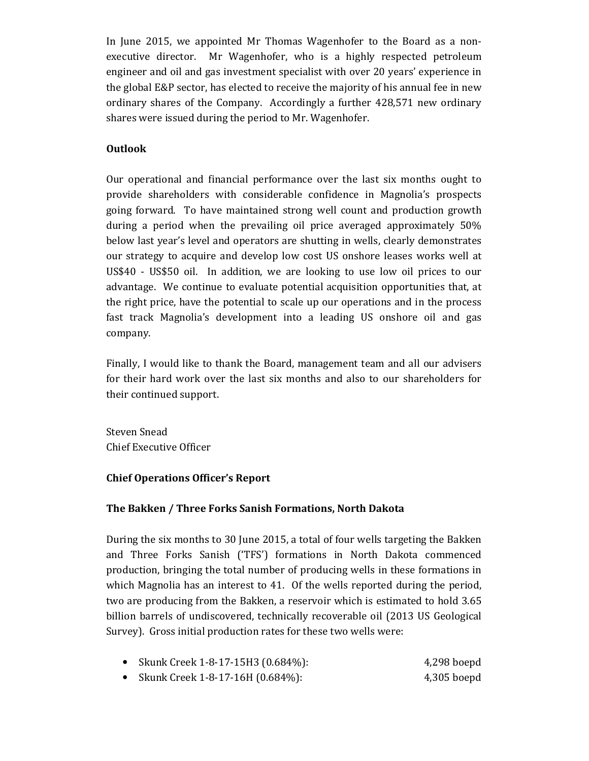In June 2015, we appointed Mr Thomas Wagenhofer to the Board as a nonexecutive director. Mr Wagenhofer, who is a highly respected petroleum engineer and oil and gas investment specialist with over 20 years' experience in the global E&P sector, has elected to receive the majority of his annual fee in new ordinary shares of the Company. Accordingly a further 428,571 new ordinary shares were issued during the period to Mr. Wagenhofer.

## Outlook

Our operational and financial performance over the last six months ought to provide shareholders with considerable confidence in Magnolia's prospects going forward. To have maintained strong well count and production growth during a period when the prevailing oil price averaged approximately 50% below last year's level and operators are shutting in wells, clearly demonstrates our strategy to acquire and develop low cost US onshore leases works well at US\$40 - US\$50 oil. In addition, we are looking to use low oil prices to our advantage. We continue to evaluate potential acquisition opportunities that, at the right price, have the potential to scale up our operations and in the process fast track Magnolia's development into a leading US onshore oil and gas company.

Finally, I would like to thank the Board, management team and all our advisers for their hard work over the last six months and also to our shareholders for their continued support.

Steven Snead Chief Executive Officer

## Chief Operations Officer's Report

# The Bakken / Three Forks Sanish Formations, North Dakota

During the six months to 30 June 2015, a total of four wells targeting the Bakken and Three Forks Sanish ('TFS') formations in North Dakota commenced production, bringing the total number of producing wells in these formations in which Magnolia has an interest to 41. Of the wells reported during the period, two are producing from the Bakken, a reservoir which is estimated to hold 3.65 billion barrels of undiscovered, technically recoverable oil (2013 US Geological Survey). Gross initial production rates for these two wells were:

- Skunk Creek 1-8-17-15H3 (0.684%): 4,298 boepd
- Skunk Creek 1-8-17-16H (0.684%): 4,305 boepd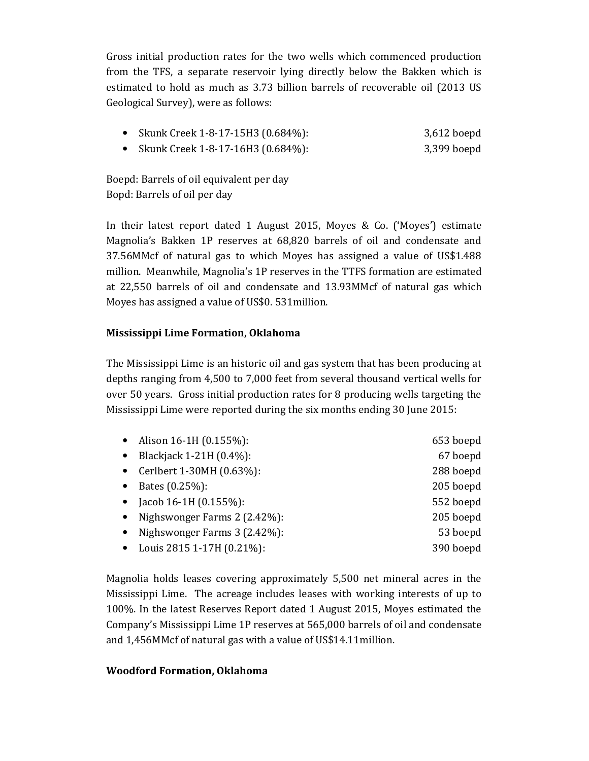Gross initial production rates for the two wells which commenced production from the TFS, a separate reservoir lying directly below the Bakken which is estimated to hold as much as 3.73 billion barrels of recoverable oil (2013 US Geological Survey), were as follows:

- Skunk Creek 1-8-17-15H3 (0.684%): 3,612 boepd
- Skunk Creek 1-8-17-16H3 (0.684%): 3,399 boepd

Boepd: Barrels of oil equivalent per day Bopd: Barrels of oil per day

In their latest report dated 1 August 2015, Moyes & Co. ('Moyes') estimate Magnolia's Bakken 1P reserves at 68,820 barrels of oil and condensate and 37.56MMcf of natural gas to which Moyes has assigned a value of US\$1.488 million. Meanwhile, Magnolia's 1P reserves in the TTFS formation are estimated at 22,550 barrels of oil and condensate and 13.93MMcf of natural gas which Moyes has assigned a value of US\$0. 531million.

## Mississippi Lime Formation, Oklahoma

The Mississippi Lime is an historic oil and gas system that has been producing at depths ranging from 4,500 to 7,000 feet from several thousand vertical wells for over 50 years. Gross initial production rates for 8 producing wells targeting the Mississippi Lime were reported during the six months ending 30 June 2015:

|           | • Alison 16-1H $(0.155\%)$ :      | 653 boepd |
|-----------|-----------------------------------|-----------|
|           | • Blackjack 1-21H $(0.4\%)$ :     | 67 boepd  |
|           | • Cerlbert 1-30MH $(0.63\%)$ :    | 288 boepd |
|           | • Bates $(0.25\%)$ :              | 205 boepd |
| $\bullet$ | Jacob 16-1H $(0.155\%)$ :         | 552 boepd |
|           | • Nighswonger Farms $2(2.42\%)$ : | 205 boepd |
|           | • Nighswonger Farms $3(2.42\%)$ : | 53 boepd  |
|           | • Louis 2815 1-17H $(0.21\%)$ :   | 390 boepd |

Magnolia holds leases covering approximately 5,500 net mineral acres in the Mississippi Lime. The acreage includes leases with working interests of up to 100%. In the latest Reserves Report dated 1 August 2015, Moyes estimated the Company's Mississippi Lime 1P reserves at 565,000 barrels of oil and condensate and 1,456MMcf of natural gas with a value of US\$14.11million.

## Woodford Formation, Oklahoma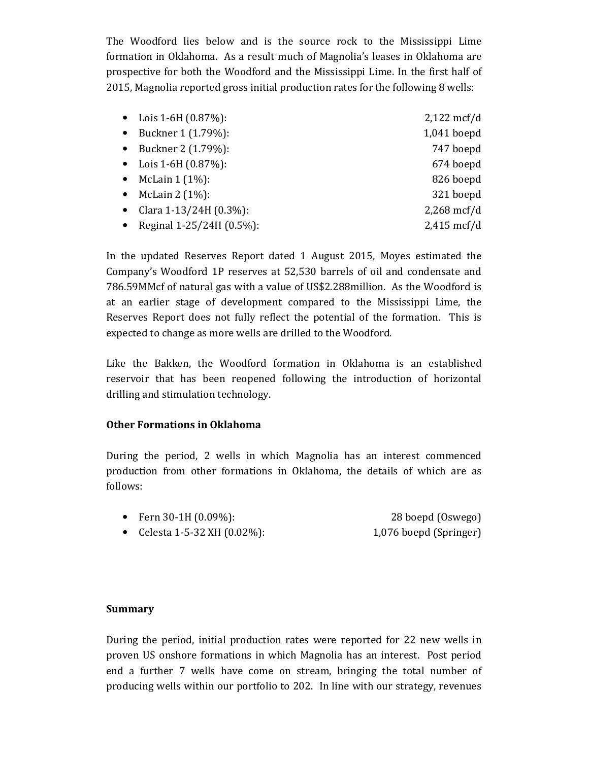The Woodford lies below and is the source rock to the Mississippi Lime formation in Oklahoma. As a result much of Magnolia's leases in Oklahoma are prospective for both the Woodford and the Mississippi Lime. In the first half of 2015, Magnolia reported gross initial production rates for the following 8 wells:

|           | • Lois 1-6H $(0.87\%)$ : | $2,122$ mcf/d |
|-----------|--------------------------|---------------|
| $\bullet$ | Buckner 1 (1.79%):       | $1,041$ boepd |
| $\bullet$ | Buckner 2 (1.79%):       | 747 boepd     |
|           | • Lois 1-6H $(0.87\%)$ : | 674 boepd     |
| $\bullet$ | McLain $1(1\%)$ :        | 826 boepd     |
| $\bullet$ | McLain $2(1\%)$ :        | 321 boepd     |
| $\bullet$ | Clara 1-13/24H (0.3%):   | $2,268$ mcf/d |
|           | Reginal 1-25/24H (0.5%): | $2,415$ mcf/d |
|           |                          |               |

In the updated Reserves Report dated 1 August 2015, Moyes estimated the Company's Woodford 1P reserves at 52,530 barrels of oil and condensate and 786.59MMcf of natural gas with a value of US\$2.288million. As the Woodford is at an earlier stage of development compared to the Mississippi Lime, the Reserves Report does not fully reflect the potential of the formation. This is expected to change as more wells are drilled to the Woodford.

Like the Bakken, the Woodford formation in Oklahoma is an established reservoir that has been reopened following the introduction of horizontal drilling and stimulation technology.

## Other Formations in Oklahoma

During the period, 2 wells in which Magnolia has an interest commenced production from other formations in Oklahoma, the details of which are as follows:

- Fern 30-1H (0.09%): 28 boepd (Oswego)
- Celesta 1-5-32 XH (0.02%): 1,076 boepd (Springer)

### Summary

During the period, initial production rates were reported for 22 new wells in proven US onshore formations in which Magnolia has an interest. Post period end a further 7 wells have come on stream, bringing the total number of producing wells within our portfolio to 202. In line with our strategy, revenues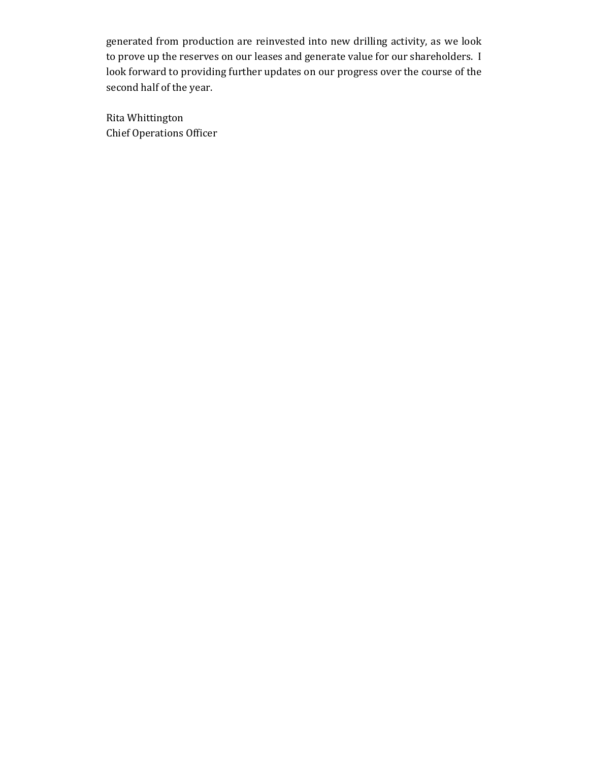generated from production are reinvested into new drilling activity, as we look to prove up the reserves on our leases and generate value for our shareholders. I look forward to providing further updates on our progress over the course of the second half of the year.

Rita Whittington Chief Operations Officer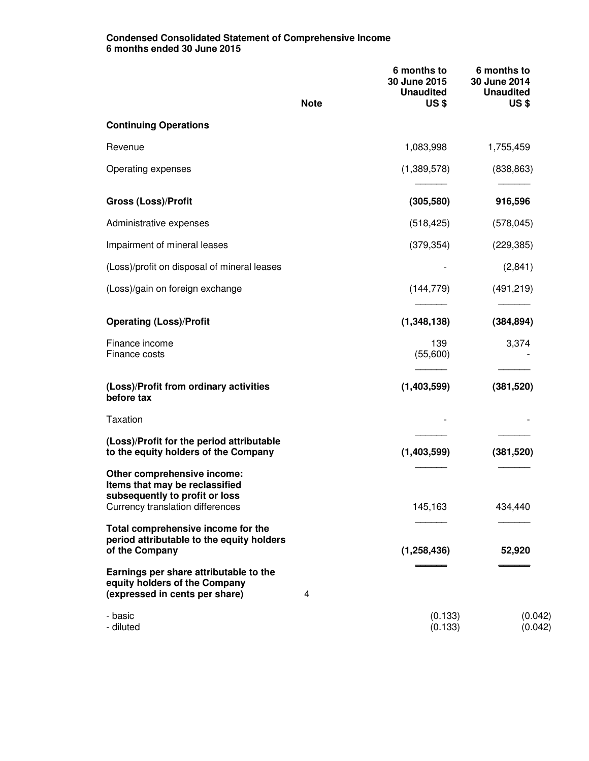### **Condensed Consolidated Statement of Comprehensive Income 6 months ended 30 June 2015**

|                                                                                                                                            | <b>Note</b> | 6 months to<br>30 June 2015<br><b>Unaudited</b><br><b>US\$</b> | 6 months to<br>30 June 2014<br><b>Unaudited</b><br><b>US\$</b> |
|--------------------------------------------------------------------------------------------------------------------------------------------|-------------|----------------------------------------------------------------|----------------------------------------------------------------|
| <b>Continuing Operations</b>                                                                                                               |             |                                                                |                                                                |
| Revenue                                                                                                                                    |             | 1,083,998                                                      | 1,755,459                                                      |
| Operating expenses                                                                                                                         |             | (1,389,578)                                                    | (838, 863)                                                     |
| <b>Gross (Loss)/Profit</b>                                                                                                                 |             | (305, 580)                                                     | 916,596                                                        |
| Administrative expenses                                                                                                                    |             | (518, 425)                                                     | (578, 045)                                                     |
| Impairment of mineral leases                                                                                                               |             | (379, 354)                                                     | (229, 385)                                                     |
| (Loss)/profit on disposal of mineral leases                                                                                                |             |                                                                | (2,841)                                                        |
| (Loss)/gain on foreign exchange                                                                                                            |             | (144, 779)                                                     | (491, 219)                                                     |
| <b>Operating (Loss)/Profit</b>                                                                                                             |             | (1,348,138)                                                    | (384, 894)                                                     |
| Finance income<br>Finance costs                                                                                                            |             | 139<br>(55,600)                                                | 3,374                                                          |
| (Loss)/Profit from ordinary activities<br>before tax                                                                                       |             | (1,403,599)                                                    | (381, 520)                                                     |
| <b>Taxation</b>                                                                                                                            |             |                                                                |                                                                |
| (Loss)/Profit for the period attributable<br>to the equity holders of the Company                                                          |             | (1,403,599)                                                    | (381, 520)                                                     |
| Other comprehensive income:<br>Items that may be reclassified<br>subsequently to profit or loss<br><b>Currency translation differences</b> |             | 145,163                                                        | 434,440                                                        |
| Total comprehensive income for the<br>period attributable to the equity holders<br>of the Company                                          |             | (1, 258, 436)                                                  | 52,920                                                         |
| Earnings per share attributable to the<br>equity holders of the Company<br>(expressed in cents per share)                                  | 4           |                                                                |                                                                |
| - basic<br>- diluted                                                                                                                       |             | (0.133)<br>(0.133)                                             | (0.042)<br>(0.042)                                             |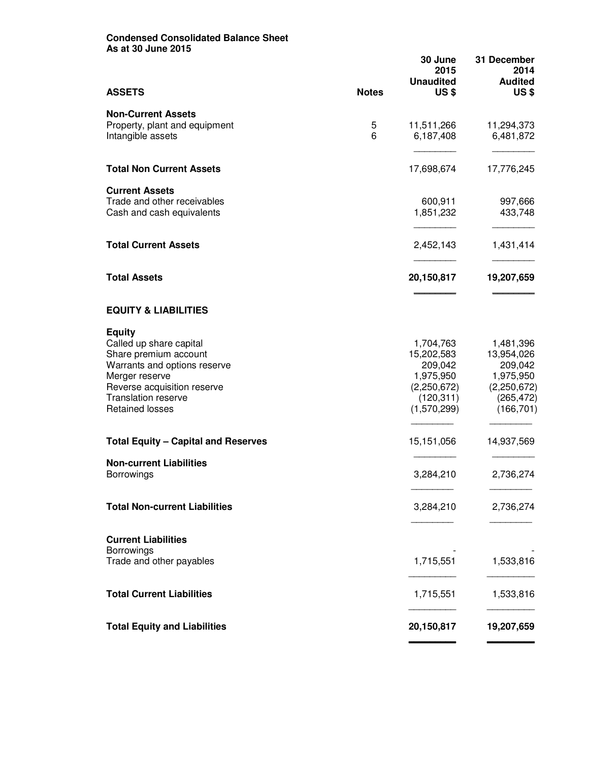### **Condensed Consolidated Balance Sheet As at 30 June 2015**

| <b>ASSETS</b><br><b>Notes</b><br>US\$<br><b>Non-Current Assets</b><br>Property, plant and equipment<br>5<br>11,511,266<br>6<br>Intangible assets<br>6,187,408<br><b>Total Non Current Assets</b><br>17,698,674<br><b>Current Assets</b><br>Trade and other receivables<br>600,911<br>1,851,232<br>Cash and cash equivalents<br><b>Total Current Assets</b><br>2,452,143<br><b>Total Assets</b><br>20,150,817<br><b>EQUITY &amp; LIABILITIES</b><br><b>Equity</b><br>Called up share capital<br>1,704,763<br>15,202,583<br>Share premium account<br>Warrants and options reserve<br>209,042<br>1,975,950<br>Merger reserve<br>Reverse acquisition reserve<br>(2,250,672)<br><b>Translation reserve</b><br>(120, 311)<br><b>Retained losses</b><br>(1,570,299)<br><b>Total Equity - Capital and Reserves</b><br>15,151,056<br><b>Non-current Liabilities</b><br>3,284,210<br><b>Borrowings</b><br><b>Total Non-current Liabilities</b><br>3,284,210<br>2,736,274<br><b>Current Liabilities</b><br>Borrowings<br>1,715,551<br>Trade and other payables<br><b>Total Current Liabilities</b><br>1,715,551<br>1,533,816<br><b>Total Equity and Liabilities</b><br>20,150,817 |  | 30 June<br>2015<br><b>Unaudited</b> | 31 December<br>2014<br><b>Audited</b>                                                      |
|------------------------------------------------------------------------------------------------------------------------------------------------------------------------------------------------------------------------------------------------------------------------------------------------------------------------------------------------------------------------------------------------------------------------------------------------------------------------------------------------------------------------------------------------------------------------------------------------------------------------------------------------------------------------------------------------------------------------------------------------------------------------------------------------------------------------------------------------------------------------------------------------------------------------------------------------------------------------------------------------------------------------------------------------------------------------------------------------------------------------------------------------------------------------|--|-------------------------------------|--------------------------------------------------------------------------------------------|
|                                                                                                                                                                                                                                                                                                                                                                                                                                                                                                                                                                                                                                                                                                                                                                                                                                                                                                                                                                                                                                                                                                                                                                        |  |                                     | <b>US\$</b>                                                                                |
|                                                                                                                                                                                                                                                                                                                                                                                                                                                                                                                                                                                                                                                                                                                                                                                                                                                                                                                                                                                                                                                                                                                                                                        |  |                                     | 11,294,373<br>6,481,872                                                                    |
|                                                                                                                                                                                                                                                                                                                                                                                                                                                                                                                                                                                                                                                                                                                                                                                                                                                                                                                                                                                                                                                                                                                                                                        |  |                                     | 17,776,245                                                                                 |
|                                                                                                                                                                                                                                                                                                                                                                                                                                                                                                                                                                                                                                                                                                                                                                                                                                                                                                                                                                                                                                                                                                                                                                        |  |                                     | 997,666<br>433,748                                                                         |
|                                                                                                                                                                                                                                                                                                                                                                                                                                                                                                                                                                                                                                                                                                                                                                                                                                                                                                                                                                                                                                                                                                                                                                        |  |                                     | 1,431,414                                                                                  |
|                                                                                                                                                                                                                                                                                                                                                                                                                                                                                                                                                                                                                                                                                                                                                                                                                                                                                                                                                                                                                                                                                                                                                                        |  |                                     | 19,207,659                                                                                 |
|                                                                                                                                                                                                                                                                                                                                                                                                                                                                                                                                                                                                                                                                                                                                                                                                                                                                                                                                                                                                                                                                                                                                                                        |  |                                     |                                                                                            |
|                                                                                                                                                                                                                                                                                                                                                                                                                                                                                                                                                                                                                                                                                                                                                                                                                                                                                                                                                                                                                                                                                                                                                                        |  |                                     | 1,481,396<br>13,954,026<br>209,042<br>1,975,950<br>(2,250,672)<br>(265, 472)<br>(166, 701) |
|                                                                                                                                                                                                                                                                                                                                                                                                                                                                                                                                                                                                                                                                                                                                                                                                                                                                                                                                                                                                                                                                                                                                                                        |  |                                     | 14,937,569                                                                                 |
|                                                                                                                                                                                                                                                                                                                                                                                                                                                                                                                                                                                                                                                                                                                                                                                                                                                                                                                                                                                                                                                                                                                                                                        |  |                                     | 2,736,274                                                                                  |
|                                                                                                                                                                                                                                                                                                                                                                                                                                                                                                                                                                                                                                                                                                                                                                                                                                                                                                                                                                                                                                                                                                                                                                        |  |                                     |                                                                                            |
|                                                                                                                                                                                                                                                                                                                                                                                                                                                                                                                                                                                                                                                                                                                                                                                                                                                                                                                                                                                                                                                                                                                                                                        |  |                                     |                                                                                            |
|                                                                                                                                                                                                                                                                                                                                                                                                                                                                                                                                                                                                                                                                                                                                                                                                                                                                                                                                                                                                                                                                                                                                                                        |  |                                     | 1,533,816                                                                                  |
|                                                                                                                                                                                                                                                                                                                                                                                                                                                                                                                                                                                                                                                                                                                                                                                                                                                                                                                                                                                                                                                                                                                                                                        |  |                                     |                                                                                            |
|                                                                                                                                                                                                                                                                                                                                                                                                                                                                                                                                                                                                                                                                                                                                                                                                                                                                                                                                                                                                                                                                                                                                                                        |  |                                     | 19,207,659                                                                                 |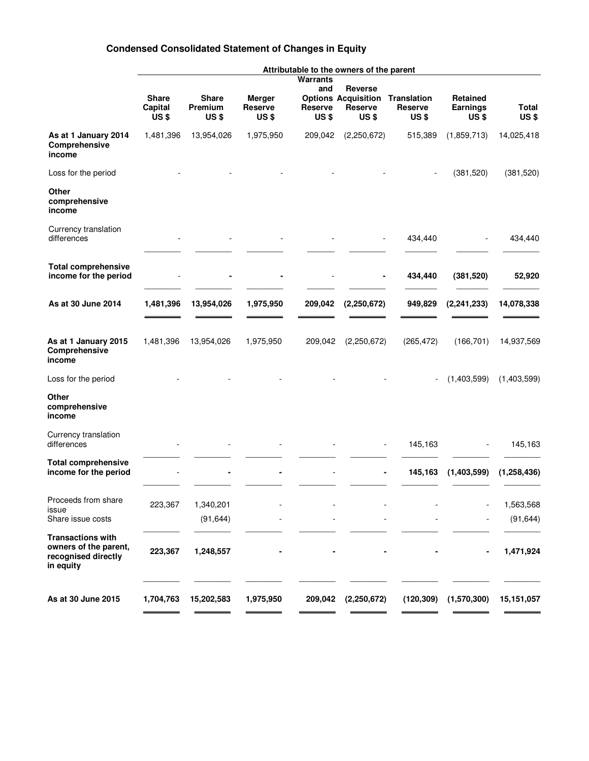# **Condensed Consolidated Statement of Changes in Equity**

|                                                                                       | Attributable to the owners of the parent |                                  |                                   |                                                      |                                                                              |                  |                                                 |                             |
|---------------------------------------------------------------------------------------|------------------------------------------|----------------------------------|-----------------------------------|------------------------------------------------------|------------------------------------------------------------------------------|------------------|-------------------------------------------------|-----------------------------|
|                                                                                       | <b>Share</b><br>Capital<br><b>US\$</b>   | <b>Share</b><br>Premium<br>US \$ | <b>Merger</b><br>Reserve<br>US \$ | Warrants<br>and<br><b>Reserve</b><br>US <sub>3</sub> | Reverse<br><b>Options Acquisition Translation</b><br><b>Reserve</b><br>US \$ | Reserve<br>US \$ | <b>Retained</b><br>Earnings<br>US <sub>\$</sub> | <b>Total</b><br><b>US\$</b> |
| As at 1 January 2014<br>Comprehensive<br>income                                       | 1,481,396                                | 13,954,026                       | 1,975,950                         | 209,042                                              | (2,250,672)                                                                  | 515,389          | (1,859,713)                                     | 14,025,418                  |
| Loss for the period                                                                   |                                          |                                  |                                   |                                                      |                                                                              |                  | (381, 520)                                      | (381, 520)                  |
| Other<br>comprehensive<br>income                                                      |                                          |                                  |                                   |                                                      |                                                                              |                  |                                                 |                             |
| Currency translation<br>differences                                                   |                                          |                                  |                                   |                                                      |                                                                              | 434,440          |                                                 | 434,440                     |
| <b>Total comprehensive</b><br>income for the period                                   |                                          |                                  |                                   |                                                      |                                                                              | 434,440          | (381, 520)                                      | 52,920                      |
| As at 30 June 2014                                                                    | 1,481,396                                | 13,954,026                       | 1,975,950                         | 209,042                                              | (2, 250, 672)                                                                | 949,829          | (2, 241, 233)                                   | 14,078,338                  |
| As at 1 January 2015<br>Comprehensive<br>income                                       | 1,481,396                                | 13,954,026                       | 1,975,950                         | 209,042                                              | (2,250,672)                                                                  | (265, 472)       | (166, 701)                                      | 14,937,569                  |
| Loss for the period                                                                   |                                          |                                  |                                   |                                                      |                                                                              |                  | (1,403,599)                                     | (1,403,599)                 |
| Other<br>comprehensive<br>income                                                      |                                          |                                  |                                   |                                                      |                                                                              |                  |                                                 |                             |
| Currency translation<br>differences                                                   |                                          |                                  |                                   |                                                      |                                                                              | 145,163          |                                                 | 145,163                     |
| <b>Total comprehensive</b><br>income for the period                                   |                                          |                                  |                                   |                                                      |                                                                              | 145,163          | (1,403,599)                                     | (1, 258, 436)               |
| Proceeds from share<br>issue<br>Share issue costs                                     | 223,367                                  | 1,340,201<br>(91, 644)           |                                   |                                                      |                                                                              |                  |                                                 | 1,563,568<br>(91, 644)      |
| <b>Transactions with</b><br>owners of the parent,<br>recognised directly<br>in equity | 223,367                                  | 1,248,557                        |                                   |                                                      |                                                                              |                  |                                                 | 1,471,924                   |
| As at 30 June 2015                                                                    | 1,704,763                                | 15,202,583                       | 1,975,950                         | 209,042                                              | (2, 250, 672)                                                                | (120, 309)       | (1,570,300)                                     | 15, 151, 057                |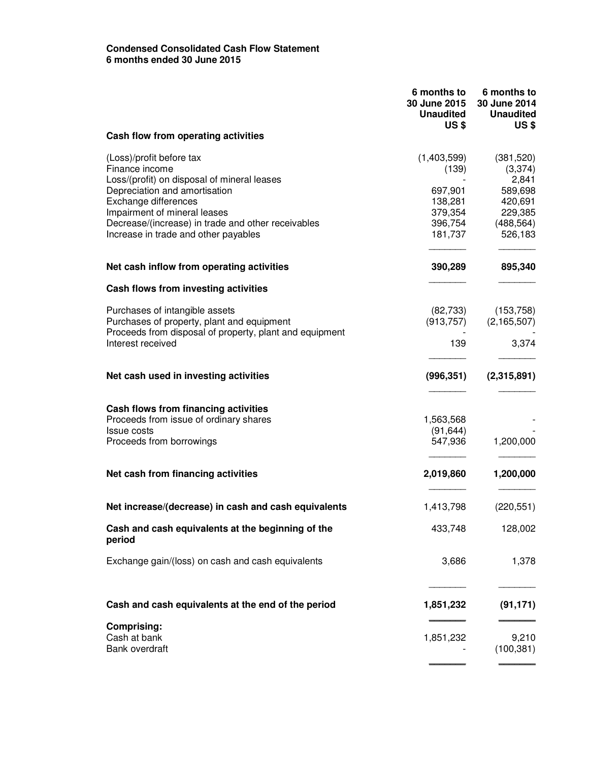### **Condensed Consolidated Cash Flow Statement 6 months ended 30 June 2015**

|                                                                                                                            | 6 months to<br>30 June 2015<br><b>Unaudited</b><br>US \$ | 6 months to<br>30 June 2014<br><b>Unaudited</b><br><b>US\$</b> |
|----------------------------------------------------------------------------------------------------------------------------|----------------------------------------------------------|----------------------------------------------------------------|
| Cash flow from operating activities                                                                                        |                                                          |                                                                |
| (Loss)/profit before tax<br>Finance income<br>Loss/(profit) on disposal of mineral leases                                  | (1,403,599)<br>(139)                                     | (381, 520)<br>(3,374)<br>2,841                                 |
| Depreciation and amortisation<br>Exchange differences                                                                      | 697,901<br>138,281                                       | 589,698<br>420,691                                             |
| Impairment of mineral leases<br>Decrease/(increase) in trade and other receivables<br>Increase in trade and other payables | 379,354<br>396,754<br>181,737                            | 229,385<br>(488, 564)<br>526,183                               |
| Net cash inflow from operating activities                                                                                  | 390,289                                                  | 895,340                                                        |
| Cash flows from investing activities                                                                                       |                                                          |                                                                |
| Purchases of intangible assets<br>Purchases of property, plant and equipment                                               | (82, 733)<br>(913, 757)                                  | (153, 758)<br>(2, 165, 507)                                    |
| Proceeds from disposal of property, plant and equipment<br>Interest received                                               | 139                                                      | 3,374                                                          |
| Net cash used in investing activities                                                                                      | (996, 351)                                               | (2,315,891)                                                    |
| Cash flows from financing activities                                                                                       |                                                          |                                                                |
| Proceeds from issue of ordinary shares                                                                                     | 1,563,568                                                |                                                                |
| <b>Issue costs</b><br>Proceeds from borrowings                                                                             | (91, 644)<br>547,936                                     | 1,200,000                                                      |
| Net cash from financing activities                                                                                         | 2,019,860                                                | 1,200,000                                                      |
| Net increase/(decrease) in cash and cash equivalents                                                                       | 1,413,798                                                | (220, 551)                                                     |
| Cash and cash equivalents at the beginning of the<br>period                                                                | 433,748                                                  | 128,002                                                        |
| Exchange gain/(loss) on cash and cash equivalents                                                                          | 3,686                                                    | 1,378                                                          |
| Cash and cash equivalents at the end of the period                                                                         | 1,851,232                                                | (91, 171)                                                      |
| <b>Comprising:</b><br>Cash at bank                                                                                         | 1,851,232                                                | 9,210                                                          |
| Bank overdraft                                                                                                             |                                                          | (100, 381)                                                     |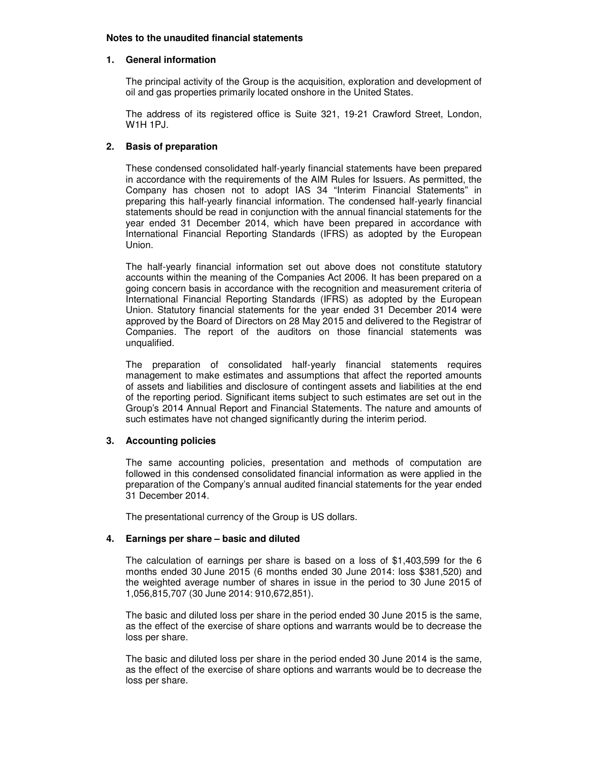#### **Notes to the unaudited financial statements**

#### **1. General information**

The principal activity of the Group is the acquisition, exploration and development of oil and gas properties primarily located onshore in the United States.

The address of its registered office is Suite 321, 19-21 Crawford Street, London, W1H 1PJ.

### **2. Basis of preparation**

These condensed consolidated half-yearly financial statements have been prepared in accordance with the requirements of the AIM Rules for Issuers. As permitted, the Company has chosen not to adopt IAS 34 "Interim Financial Statements" in preparing this half-yearly financial information. The condensed half-yearly financial statements should be read in conjunction with the annual financial statements for the year ended 31 December 2014, which have been prepared in accordance with International Financial Reporting Standards (IFRS) as adopted by the European Union.

The half-yearly financial information set out above does not constitute statutory accounts within the meaning of the Companies Act 2006. It has been prepared on a going concern basis in accordance with the recognition and measurement criteria of International Financial Reporting Standards (IFRS) as adopted by the European Union. Statutory financial statements for the year ended 31 December 2014 were approved by the Board of Directors on 28 May 2015 and delivered to the Registrar of Companies. The report of the auditors on those financial statements was unqualified.

The preparation of consolidated half-yearly financial statements requires management to make estimates and assumptions that affect the reported amounts of assets and liabilities and disclosure of contingent assets and liabilities at the end of the reporting period. Significant items subject to such estimates are set out in the Group's 2014 Annual Report and Financial Statements. The nature and amounts of such estimates have not changed significantly during the interim period.

### **3. Accounting policies**

The same accounting policies, presentation and methods of computation are followed in this condensed consolidated financial information as were applied in the preparation of the Company's annual audited financial statements for the year ended 31 December 2014.

The presentational currency of the Group is US dollars.

### **4. Earnings per share – basic and diluted**

The calculation of earnings per share is based on a loss of \$1,403,599 for the 6 months ended 30 June 2015 (6 months ended 30 June 2014: loss \$381,520) and the weighted average number of shares in issue in the period to 30 June 2015 of 1,056,815,707 (30 June 2014: 910,672,851).

The basic and diluted loss per share in the period ended 30 June 2015 is the same, as the effect of the exercise of share options and warrants would be to decrease the loss per share.

The basic and diluted loss per share in the period ended 30 June 2014 is the same, as the effect of the exercise of share options and warrants would be to decrease the loss per share.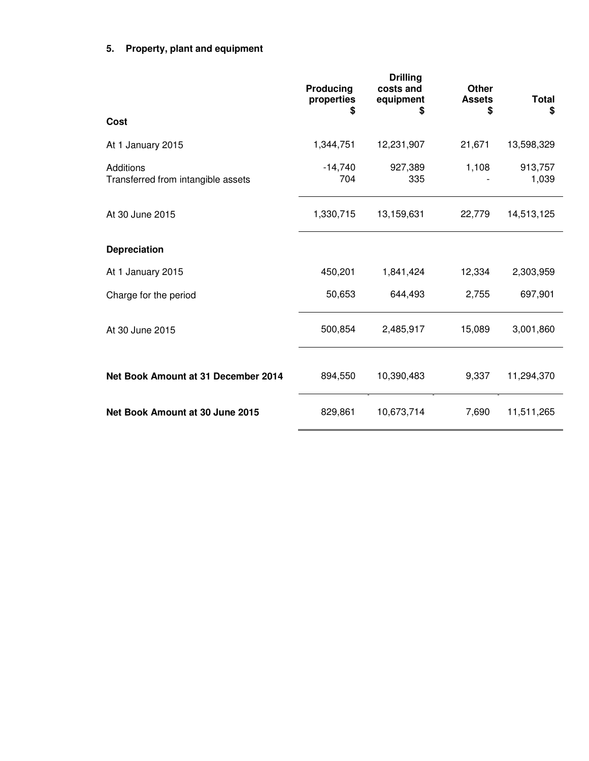# **5. Property, plant and equipment**

|                                                 | Producing<br>properties<br>\$ | <b>Drilling</b><br>costs and<br>equipment<br>\$ | <b>Other</b><br><b>Assets</b><br>\$ | Total<br>\$      |
|-------------------------------------------------|-------------------------------|-------------------------------------------------|-------------------------------------|------------------|
| Cost                                            |                               |                                                 |                                     |                  |
| At 1 January 2015                               | 1,344,751                     | 12,231,907                                      | 21,671                              | 13,598,329       |
| Additions<br>Transferred from intangible assets | $-14,740$<br>704              | 927,389<br>335                                  | 1,108                               | 913,757<br>1,039 |
| At 30 June 2015                                 | 1,330,715                     | 13,159,631                                      | 22,779                              | 14,513,125       |
| Depreciation                                    |                               |                                                 |                                     |                  |
| At 1 January 2015                               | 450,201                       | 1,841,424                                       | 12,334                              | 2,303,959        |
| Charge for the period                           | 50,653                        | 644,493                                         | 2,755                               | 697,901          |
| At 30 June 2015                                 | 500,854                       | 2,485,917                                       | 15,089                              | 3,001,860        |
| Net Book Amount at 31 December 2014             | 894,550                       | 10,390,483                                      | 9,337                               | 11,294,370       |
| Net Book Amount at 30 June 2015                 | 829,861                       | 10,673,714                                      | 7,690                               | 11,511,265       |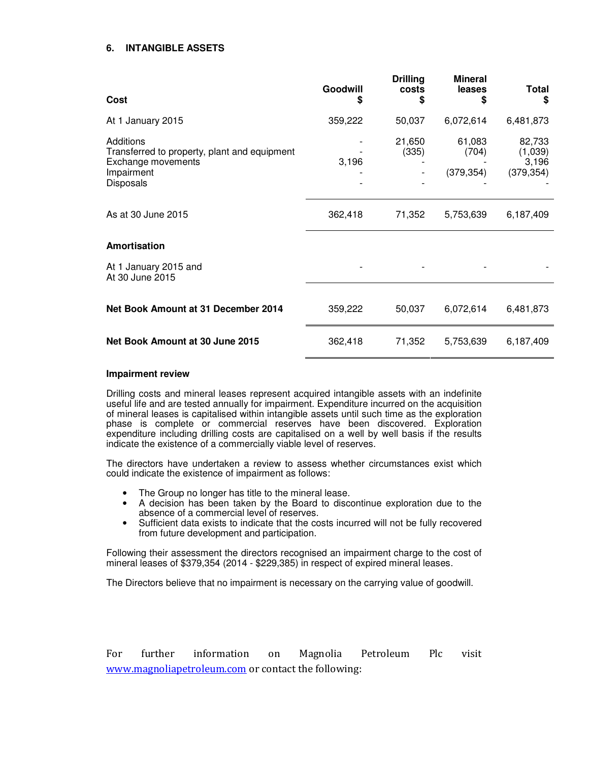### **6. INTANGIBLE ASSETS**

| <b>Cost</b>                                                                                                | Goodwill<br>\$ | <b>Drilling</b><br>costs<br>\$ | <b>Mineral</b><br>leases<br>\$ | <b>Total</b><br>S                        |
|------------------------------------------------------------------------------------------------------------|----------------|--------------------------------|--------------------------------|------------------------------------------|
| At 1 January 2015                                                                                          | 359,222        | 50,037                         | 6,072,614                      | 6,481,873                                |
| Additions<br>Transferred to property, plant and equipment<br>Exchange movements<br>Impairment<br>Disposals | 3,196          | 21,650<br>(335)                | 61,083<br>(704)<br>(379, 354)  | 82,733<br>(1,039)<br>3,196<br>(379, 354) |
| As at 30 June 2015                                                                                         | 362,418        | 71,352                         | 5,753,639                      | 6,187,409                                |
| Amortisation                                                                                               |                |                                |                                |                                          |
| At 1 January 2015 and<br>At 30 June 2015                                                                   |                |                                |                                |                                          |
| Net Book Amount at 31 December 2014                                                                        | 359,222        | 50,037                         | 6,072,614                      | 6,481,873                                |
| Net Book Amount at 30 June 2015                                                                            | 362,418        | 71,352                         | 5,753,639                      | 6,187,409                                |

#### **Impairment review**

Drilling costs and mineral leases represent acquired intangible assets with an indefinite useful life and are tested annually for impairment. Expenditure incurred on the acquisition of mineral leases is capitalised within intangible assets until such time as the exploration phase is complete or commercial reserves have been discovered. Exploration expenditure including drilling costs are capitalised on a well by well basis if the results indicate the existence of a commercially viable level of reserves.

The directors have undertaken a review to assess whether circumstances exist which could indicate the existence of impairment as follows:

- The Group no longer has title to the mineral lease.<br>• A decision has been taken by the Board to disc
- A decision has been taken by the Board to discontinue exploration due to the absence of a commercial level of reserves.
- Sufficient data exists to indicate that the costs incurred will not be fully recovered from future development and participation.

Following their assessment the directors recognised an impairment charge to the cost of mineral leases of \$379,354 (2014 - \$229,385) in respect of expired mineral leases.

The Directors believe that no impairment is necessary on the carrying value of goodwill.

For further information on Magnolia Petroleum Plc visit www.magnoliapetroleum.com or contact the following: